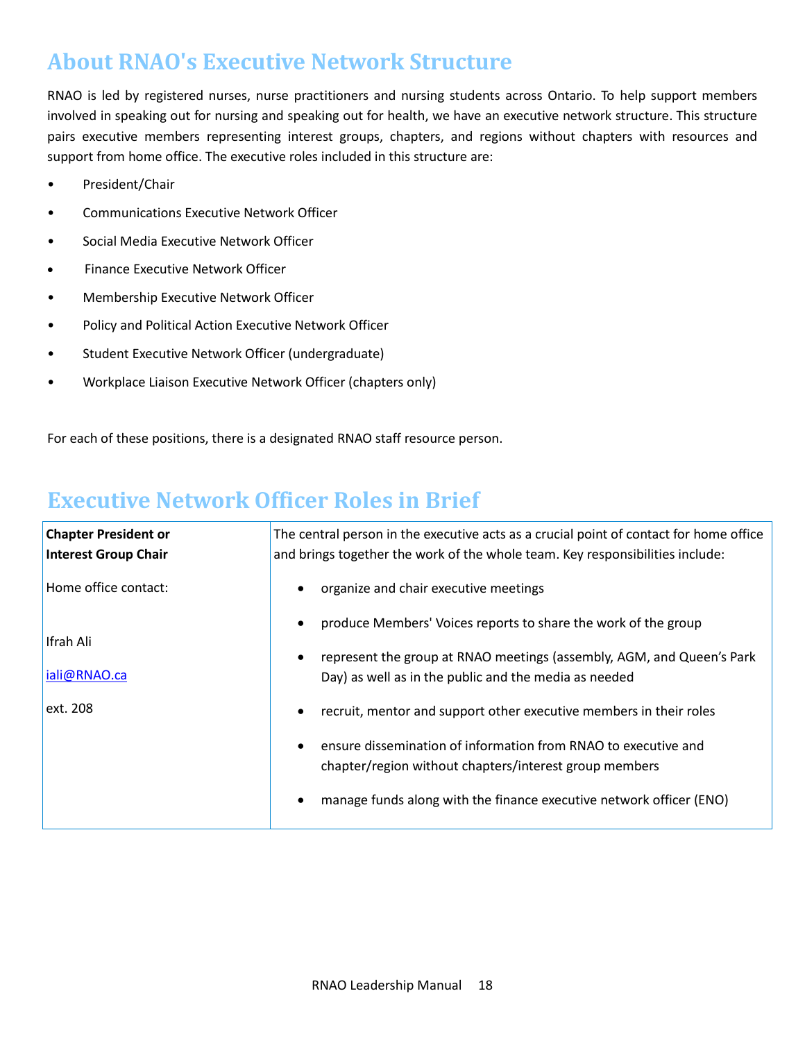## **About RNAO's Executive Network Structure**

RNAO is led by registered nurses, nurse practitioners and nursing students across Ontario. To help support members involved in speaking out for nursing and speaking out for health, we have an executive network structure. This structure pairs executive members representing interest groups, chapters, and regions without chapters with resources and support from home office. The executive roles included in this structure are:

- President/Chair
- Communications Executive Network Officer
- Social Media Executive Network Officer
- Finance Executive Network Officer
- Membership Executive Network Officer
- Policy and Political Action Executive Network Officer
- Student Executive Network Officer (undergraduate)
- Workplace Liaison Executive Network Officer (chapters only)

For each of these positions, there is a designated RNAO staff resource person.

## **Executive Network Officer Roles in Brief**

| <b>Chapter President or</b><br><b>Interest Group Chair</b> | The central person in the executive acts as a crucial point of contact for home office<br>and brings together the work of the whole team. Key responsibilities include: |
|------------------------------------------------------------|-------------------------------------------------------------------------------------------------------------------------------------------------------------------------|
| Home office contact:                                       | organize and chair executive meetings<br>$\bullet$                                                                                                                      |
| Ifrah Ali                                                  | produce Members' Voices reports to share the work of the group<br>$\bullet$                                                                                             |
| iali@RNAO.ca                                               | represent the group at RNAO meetings (assembly, AGM, and Queen's Park<br>$\bullet$<br>Day) as well as in the public and the media as needed                             |
| ext. 208                                                   | recruit, mentor and support other executive members in their roles<br>$\bullet$                                                                                         |
|                                                            | ensure dissemination of information from RNAO to executive and<br>$\bullet$<br>chapter/region without chapters/interest group members                                   |
|                                                            | manage funds along with the finance executive network officer (ENO)<br>٠                                                                                                |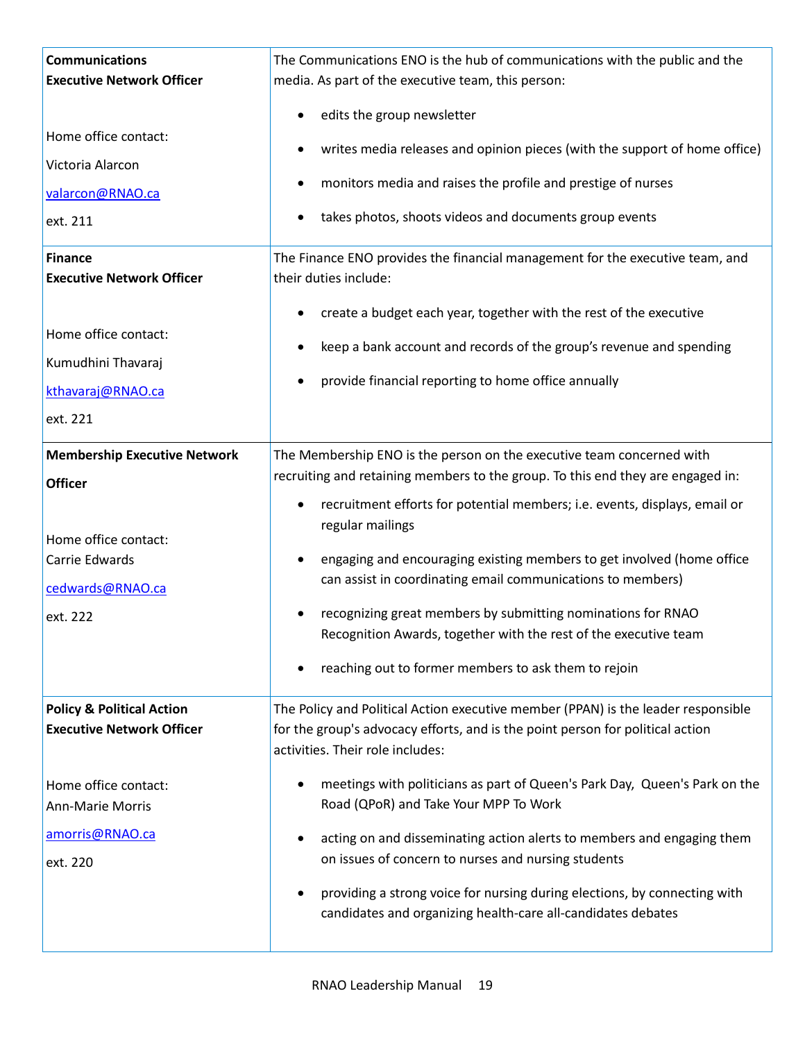| <b>Communications</b><br><b>Executive Network Officer</b>                | The Communications ENO is the hub of communications with the public and the<br>media. As part of the executive team, this person:                                                                       |
|--------------------------------------------------------------------------|---------------------------------------------------------------------------------------------------------------------------------------------------------------------------------------------------------|
|                                                                          | edits the group newsletter<br>$\bullet$                                                                                                                                                                 |
| Home office contact:                                                     | writes media releases and opinion pieces (with the support of home office)<br>٠                                                                                                                         |
| Victoria Alarcon                                                         | monitors media and raises the profile and prestige of nurses                                                                                                                                            |
| valarcon@RNAO.ca                                                         |                                                                                                                                                                                                         |
| ext. 211                                                                 | takes photos, shoots videos and documents group events                                                                                                                                                  |
| <b>Finance</b><br><b>Executive Network Officer</b>                       | The Finance ENO provides the financial management for the executive team, and<br>their duties include:                                                                                                  |
| Home office contact:                                                     | create a budget each year, together with the rest of the executive<br>٠                                                                                                                                 |
| Kumudhini Thavaraj                                                       | keep a bank account and records of the group's revenue and spending                                                                                                                                     |
| kthavaraj@RNAO.ca                                                        | provide financial reporting to home office annually                                                                                                                                                     |
| ext. 221                                                                 |                                                                                                                                                                                                         |
|                                                                          |                                                                                                                                                                                                         |
| <b>Membership Executive Network</b><br><b>Officer</b>                    | The Membership ENO is the person on the executive team concerned with<br>recruiting and retaining members to the group. To this end they are engaged in:                                                |
| Home office contact:                                                     | recruitment efforts for potential members; i.e. events, displays, email or<br>٠<br>regular mailings                                                                                                     |
| Carrie Edwards                                                           | engaging and encouraging existing members to get involved (home office<br>$\bullet$                                                                                                                     |
| cedwards@RNAO.ca                                                         | can assist in coordinating email communications to members)                                                                                                                                             |
| ext. 222                                                                 | recognizing great members by submitting nominations for RNAO<br>Recognition Awards, together with the rest of the executive team                                                                        |
|                                                                          | reaching out to former members to ask them to rejoin                                                                                                                                                    |
| <b>Policy &amp; Political Action</b><br><b>Executive Network Officer</b> | The Policy and Political Action executive member (PPAN) is the leader responsible<br>for the group's advocacy efforts, and is the point person for political action<br>activities. Their role includes: |
| Home office contact:<br><b>Ann-Marie Morris</b>                          | meetings with politicians as part of Queen's Park Day, Queen's Park on the<br>Road (QPoR) and Take Your MPP To Work                                                                                     |
| amorris@RNAO.ca<br>ext. 220                                              | acting on and disseminating action alerts to members and engaging them<br>٠<br>on issues of concern to nurses and nursing students                                                                      |
|                                                                          | providing a strong voice for nursing during elections, by connecting with<br>candidates and organizing health-care all-candidates debates                                                               |